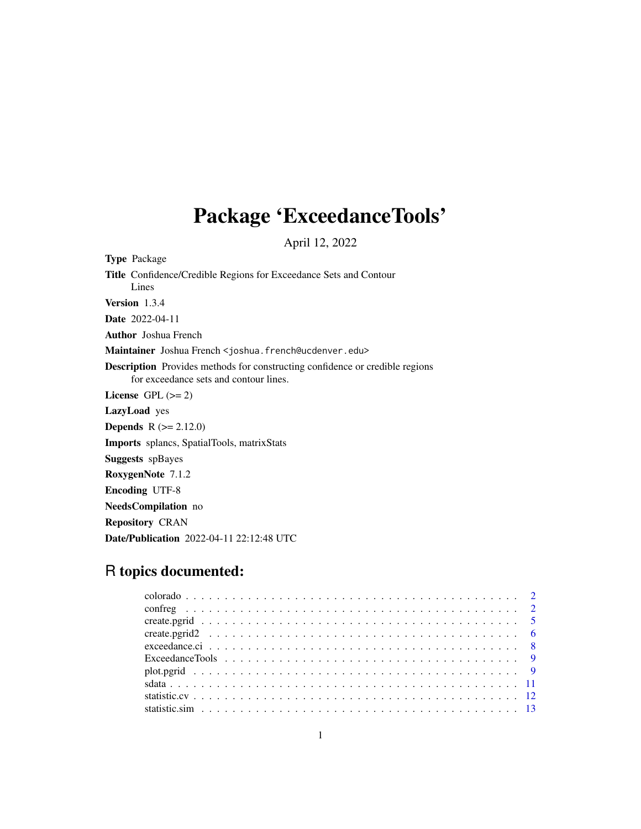# Package 'ExceedanceTools'

April 12, 2022

Type Package Title Confidence/Credible Regions for Exceedance Sets and Contour Lines Version 1.3.4 Date 2022-04-11 Author Joshua French Maintainer Joshua French <joshua.french@ucdenver.edu> Description Provides methods for constructing confidence or credible regions for exceedance sets and contour lines. License GPL  $(>= 2)$ LazyLoad yes **Depends** R  $(>= 2.12.0)$ Imports splancs, SpatialTools, matrixStats Suggests spBayes RoxygenNote 7.1.2 Encoding UTF-8 NeedsCompilation no Repository CRAN

## R topics documented:

Date/Publication 2022-04-11 22:12:48 UTC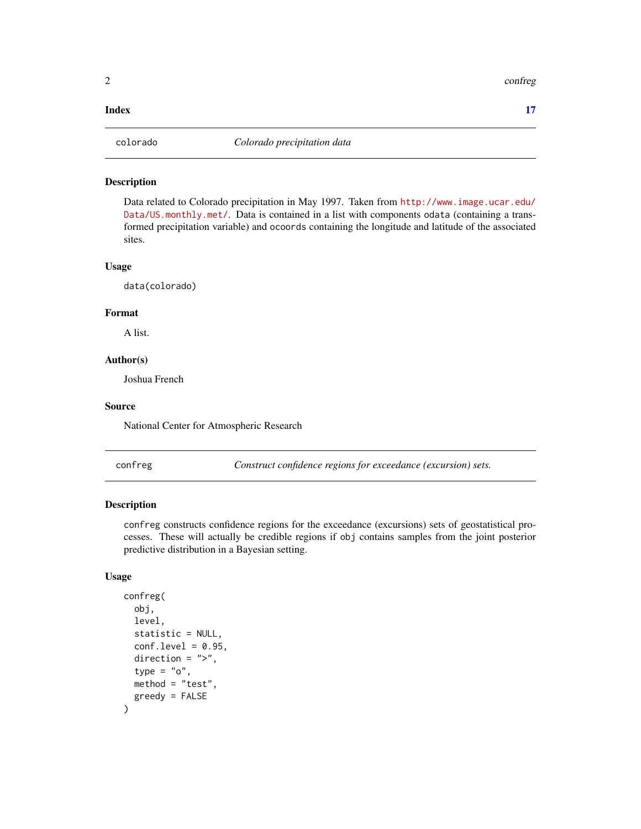#### <span id="page-1-0"></span>**Index** [17](#page-16-0)

#### Description

Data related to Colorado precipitation in May 1997. Taken from [http://www.image.ucar.edu/](http://www.image.ucar.edu/Data/US.monthly.met/) [Data/US.monthly.met/](http://www.image.ucar.edu/Data/US.monthly.met/). Data is contained in a list with components odata (containing a transformed precipitation variable) and ocoords containing the longitude and latitude of the associated sites.

#### Usage

data(colorado)

#### Format

A list.

#### Author(s)

Joshua French

#### Source

National Center for Atmospheric Research

confreg *Construct confidence regions for exceedance (excursion) sets.*

#### Description

confreg constructs confidence regions for the exceedance (excursions) sets of geostatistical processes. These will actually be credible regions if obj contains samples from the joint posterior predictive distribution in a Bayesian setting.

#### Usage

```
confreg(
  obj,
  level,
  statistic = NULL,
  conf. level = 0.95.
  direction = ">',
  type = "o",method = "test",
  greedy = FALSE
)
```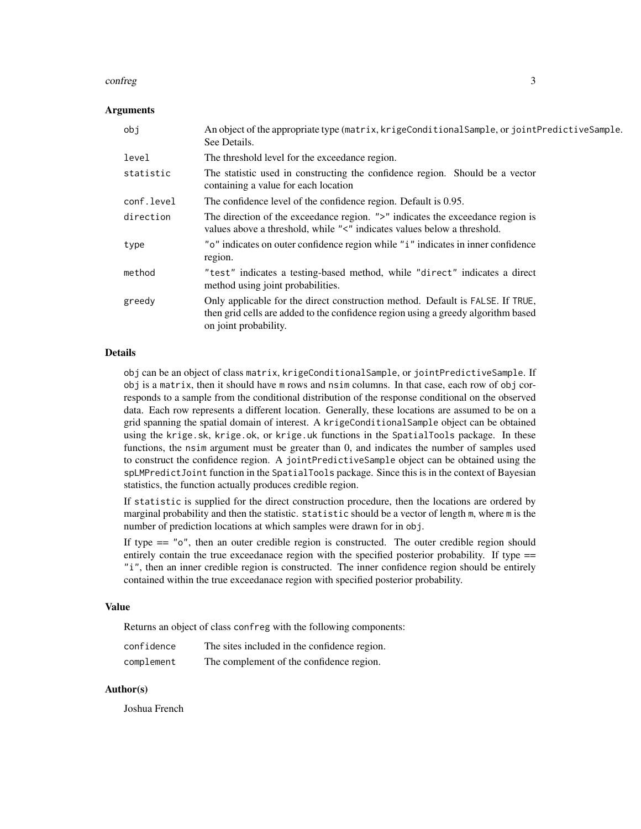#### confreg 3

#### Arguments

| obi        | An object of the appropriate type (matrix, krigeConditionalSample, or jointPredictiveSample.<br>See Details.                                                                                 |
|------------|----------------------------------------------------------------------------------------------------------------------------------------------------------------------------------------------|
| level      | The threshold level for the exceedance region.                                                                                                                                               |
| statistic  | The statistic used in constructing the confidence region. Should be a vector<br>containing a value for each location                                                                         |
| conf.level | The confidence level of the confidence region. Default is 0.95.                                                                                                                              |
| direction  | The direction of the exceedance region. ">" indicates the exceedance region is<br>values above a threshold, while "<" indicates values below a threshold.                                    |
| type       | "o" indicates on outer confidence region while "i" indicates in inner confidence<br>region.                                                                                                  |
| method     | "test" indicates a testing-based method, while "direct" indicates a direct<br>method using joint probabilities.                                                                              |
| greedy     | Only applicable for the direct construction method. Default is FALSE. If TRUE,<br>then grid cells are added to the confidence region using a greedy algorithm based<br>on joint probability. |

#### Details

obj can be an object of class matrix, krigeConditionalSample, or jointPredictiveSample. If obj is a matrix, then it should have m rows and nsim columns. In that case, each row of obj corresponds to a sample from the conditional distribution of the response conditional on the observed data. Each row represents a different location. Generally, these locations are assumed to be on a grid spanning the spatial domain of interest. A krigeConditionalSample object can be obtained using the krige.sk, krige.ok, or krige.uk functions in the SpatialTools package. In these functions, the nsim argument must be greater than 0, and indicates the number of samples used to construct the confidence region. A jointPredictiveSample object can be obtained using the spLMPredictJoint function in the SpatialTools package. Since this is in the context of Bayesian statistics, the function actually produces credible region.

If statistic is supplied for the direct construction procedure, then the locations are ordered by marginal probability and then the statistic. statistic should be a vector of length m, where m is the number of prediction locations at which samples were drawn for in obj.

If type  $=$  " $\circ$ ", then an outer credible region is constructed. The outer credible region should entirely contain the true exceedanace region with the specified posterior probability. If type == "i", then an inner credible region is constructed. The inner confidence region should be entirely contained within the true exceedanace region with specified posterior probability.

#### Value

Returns an object of class confreg with the following components:

| confidence | The sites included in the confidence region. |
|------------|----------------------------------------------|
| complement | The complement of the confidence region.     |

#### Author(s)

Joshua French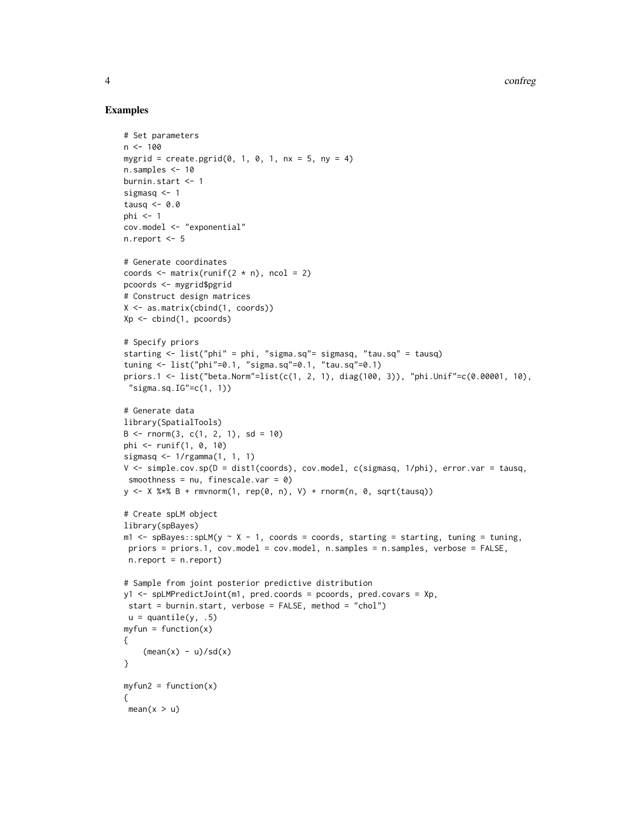4 confreger and the confrequence of the confrequence of the confrequence of the confrequence of the confrequence of the confrequence of the confrequence of the confrequence of the confrequence of the confrequence of the co

#### Examples

```
# Set parameters
n < -100mygrid = create.pgrid(0, 1, 0, 1, nx = 5, ny = 4)
n.samples <- 10
burnin.start <- 1
sigmasq <- 1
tausq <-0.0phi < -1cov.model <- "exponential"
n.report <-5# Generate coordinates
coords \leq matrix(runif(2 \neq n), ncol = 2)
pcoords <- mygrid$pgrid
# Construct design matrices
X <- as.matrix(cbind(1, coords))
Xp <- cbind(1, pcoords)
# Specify priors
starting <- list("phi" = phi, "sigma.sq"= sigmasq, "tau.sq" = tausq)
tuning <- list("phi"=0.1, "sigma.sq"=0.1, "tau.sq"=0.1)
priors.1 <- list("beta.Norm"=list(c(1, 2, 1), diag(100, 3)), "phi.Unif"=c(0.00001, 10),
 "sigma.sq.IG" = c(1, 1))# Generate data
library(SpatialTools)
B \le - rnorm(3, c(1, 2, 1), sd = 10)
phi <- runif(1, 0, 10)
sigmasq <- 1/rgamma(1, 1, 1)
V <- simple.cov.sp(D = dist1(coords), cov.model, c(sigmasq, 1/phi), error.var = tausq,
smoothness = nu, finescale.var = 0)
y \le - X %*% B + rmvnorm(1, rep(0, n), V) + rnorm(n, 0, sqrt(tausq))
# Create spLM object
library(spBayes)
m1 \leq - spBayes::spLM(y \sim X - 1, coords = coords, starting = starting, tuning = tuning,
priors = priors.1, cov.model = cov.model, n.samples = n.samples, verbose = FALSE,
n.report = n.report)
# Sample from joint posterior predictive distribution
y1 <- spLMPredictJoint(m1, pred.coords = pcoords, pred.covars = Xp,
start = burnin.start, verbose = FALSE, method = "chol")
u =quantile(y, .5)
myfun = function(x){
    (mean(x) - u)/sd(x)}
myfun2 = function(x){
mean(x > u)
```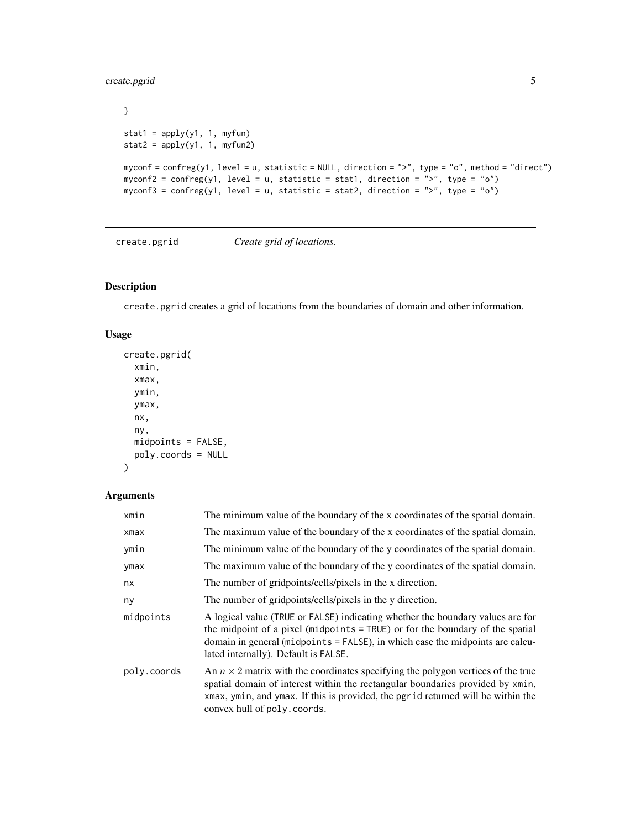### <span id="page-4-0"></span>create.pgrid 5

```
}
stat1 = apply(y1, 1, myfun)stat2 = apply(y1, 1, myfun2)myconf = confreg(y1, level = u, statistic = NULL, direction = ">", type = "o", method = "direct")
myconf2 = confreg(y1, level = u, statistic = stat1, direction = ">", type = "o")
myconf3 = confreg(y1, level = u, statistic = stat2, direction = ">", type = "o")
```
create.pgrid *Create grid of locations.*

#### Description

create.pgrid creates a grid of locations from the boundaries of domain and other information.

#### Usage

```
create.pgrid(
  xmin,
  xmax,
  ymin,
  ymax,
  nx,
  ny,
  midpoints = FALSE,
  poly.coords = NULL
\mathcal{L}
```
#### Arguments

| xmin        | The minimum value of the boundary of the x coordinates of the spatial domain.                                                                                                                                                                                                                |
|-------------|----------------------------------------------------------------------------------------------------------------------------------------------------------------------------------------------------------------------------------------------------------------------------------------------|
| xmax        | The maximum value of the boundary of the x coordinates of the spatial domain.                                                                                                                                                                                                                |
| ymin        | The minimum value of the boundary of the y coordinates of the spatial domain.                                                                                                                                                                                                                |
| ymax        | The maximum value of the boundary of the y coordinates of the spatial domain.                                                                                                                                                                                                                |
| nx          | The number of gridpoints/cells/pixels in the x direction.                                                                                                                                                                                                                                    |
| ny          | The number of gridpoints/cells/pixels in the y direction.                                                                                                                                                                                                                                    |
| midpoints   | A logical value (TRUE or FALSE) indicating whether the boundary values are for<br>the midpoint of a pixel (midpoints = TRUE) or for the boundary of the spatial<br>domain in general (midpoints = FALSE), in which case the midpoints are calcu-<br>lated internally). Default is FALSE.     |
| poly.coords | An $n \times 2$ matrix with the coordinates specifying the polygon vertices of the true<br>spatial domain of interest within the rectangular boundaries provided by xmin,<br>xmax, ymin, and ymax. If this is provided, the pgrid returned will be within the<br>convex hull of poly.coords. |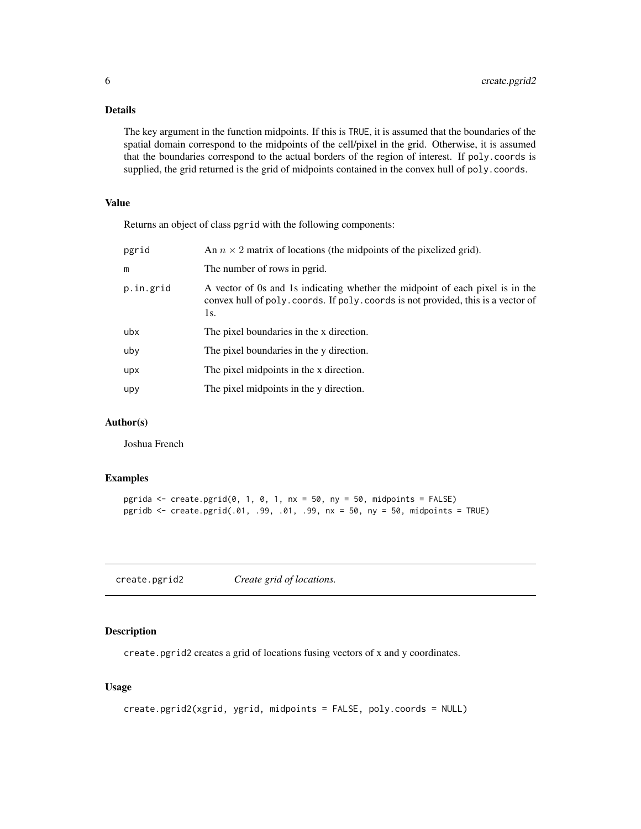#### <span id="page-5-0"></span>Details

The key argument in the function midpoints. If this is TRUE, it is assumed that the boundaries of the spatial domain correspond to the midpoints of the cell/pixel in the grid. Otherwise, it is assumed that the boundaries correspond to the actual borders of the region of interest. If poly.coords is supplied, the grid returned is the grid of midpoints contained in the convex hull of poly.coords.

#### Value

Returns an object of class pgrid with the following components:

| pgrid     | An $n \times 2$ matrix of locations (the midpoints of the pixelized grid).                                                                                                |
|-----------|---------------------------------------------------------------------------------------------------------------------------------------------------------------------------|
| m         | The number of rows in pgrid.                                                                                                                                              |
| p.in.grid | A vector of 0s and 1s indicating whether the midpoint of each pixel is in the<br>convex hull of poly. coords. If poly. coords is not provided, this is a vector of<br>1s. |
| ubx       | The pixel boundaries in the x direction.                                                                                                                                  |
| uby       | The pixel boundaries in the y direction.                                                                                                                                  |
| upx       | The pixel midpoints in the x direction.                                                                                                                                   |
| upy       | The pixel midpoints in the y direction.                                                                                                                                   |

#### Author(s)

Joshua French

#### Examples

```
pgrida \le create.pgrid(0, 1, 0, 1, nx = 50, ny = 50, midpoints = FALSE)
pgridb <- create.pgrid(.01, .99, .01, .99, nx = 50, ny = 50, midpoints = TRUE)
```
create.pgrid2 *Create grid of locations.*

#### Description

create.pgrid2 creates a grid of locations fusing vectors of x and y coordinates.

#### Usage

```
create.pgrid2(xgrid, ygrid, midpoints = FALSE, poly.coords = NULL)
```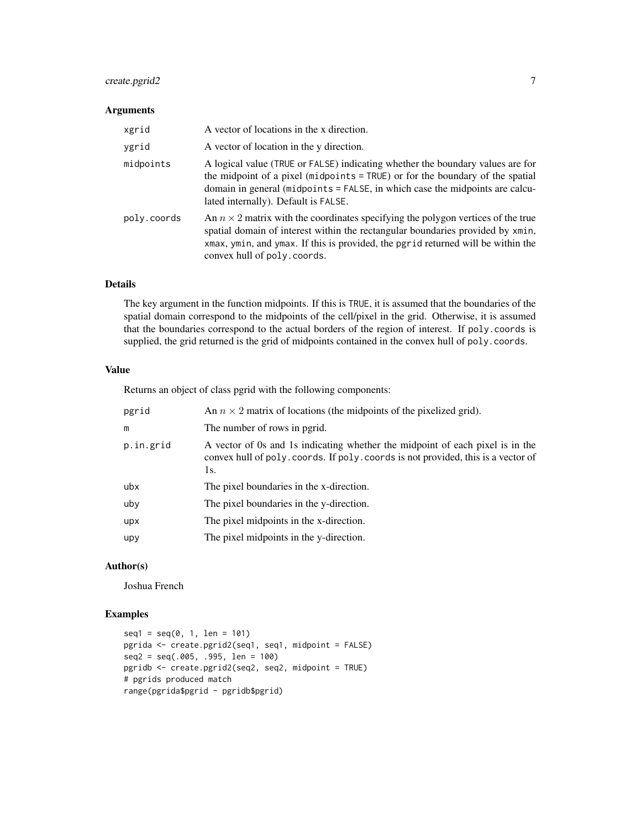#### create.pgrid2 7

#### Arguments

| xgrid       | A vector of locations in the x direction.                                                                                                                                                                                                                                                    |
|-------------|----------------------------------------------------------------------------------------------------------------------------------------------------------------------------------------------------------------------------------------------------------------------------------------------|
| ygrid       | A vector of location in the y direction.                                                                                                                                                                                                                                                     |
| midpoints   | A logical value (TRUE or FALSE) indicating whether the boundary values are for<br>the midpoint of a pixel (midpoints = TRUE) or for the boundary of the spatial<br>domain in general (midpoints = FALSE, in which case the midpoints are calcu-<br>lated internally). Default is FALSE.      |
| poly.coords | An $n \times 2$ matrix with the coordinates specifying the polygon vertices of the true<br>spatial domain of interest within the rectangular boundaries provided by xmin,<br>xmax, ymin, and ymax. If this is provided, the pgrid returned will be within the<br>convex hull of poly.coords. |

#### Details

The key argument in the function midpoints. If this is TRUE, it is assumed that the boundaries of the spatial domain correspond to the midpoints of the cell/pixel in the grid. Otherwise, it is assumed that the boundaries correspond to the actual borders of the region of interest. If poly.coords is supplied, the grid returned is the grid of midpoints contained in the convex hull of poly.coords.

#### Value

Returns an object of class pgrid with the following components:

| pgrid     | An $n \times 2$ matrix of locations (the midpoints of the pixelized grid).                                                                                                |
|-----------|---------------------------------------------------------------------------------------------------------------------------------------------------------------------------|
| m         | The number of rows in pgrid.                                                                                                                                              |
| p.in.grid | A vector of 0s and 1s indicating whether the midpoint of each pixel is in the<br>convex hull of poly. coords. If poly. coords is not provided, this is a vector of<br>1s. |
| ubx       | The pixel boundaries in the x-direction.                                                                                                                                  |
| uby       | The pixel boundaries in the y-direction.                                                                                                                                  |
| upx       | The pixel midpoints in the x-direction.                                                                                                                                   |
| upy       | The pixel midpoints in the y-direction.                                                                                                                                   |
|           |                                                                                                                                                                           |

#### Author(s)

Joshua French

#### Examples

```
seq1 = seq(0, 1, len = 101)pgrida <- create.pgrid2(seq1, seq1, midpoint = FALSE)
seq2 = seq(.005, .995, len = 100)
pgridb <- create.pgrid2(seq2, seq2, midpoint = TRUE)
# pgrids produced match
range(pgrida$pgrid - pgridb$pgrid)
```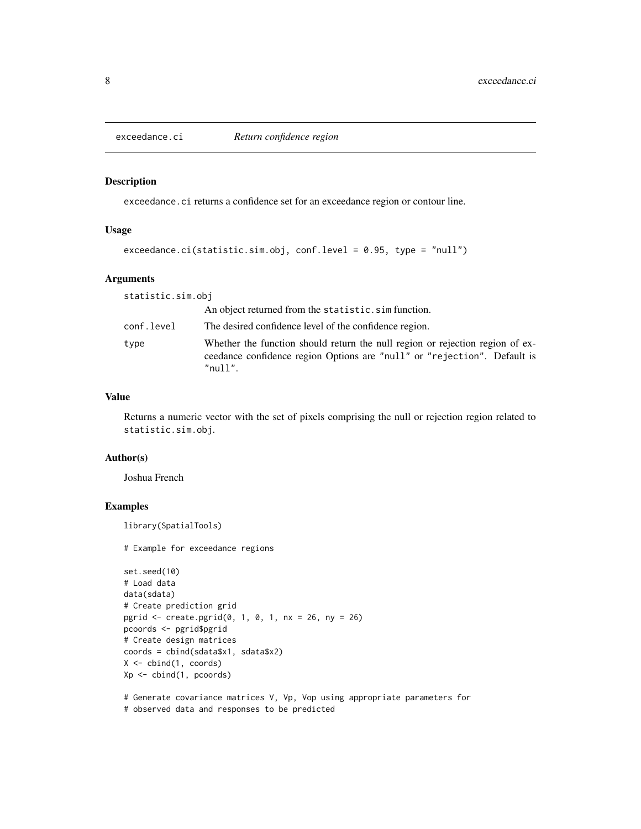<span id="page-7-0"></span>

#### Description

exceedance.ci returns a confidence set for an exceedance region or contour line.

#### Usage

```
exceedance.ci(statistic.sim.obj, conf.level = 0.95, type = "null")
```
#### Arguments

| statistic.sim.obj |                                                                                                                                                                             |
|-------------------|-----------------------------------------------------------------------------------------------------------------------------------------------------------------------------|
|                   | An object returned from the statistic. sim function.                                                                                                                        |
| conf.level        | The desired confidence level of the confidence region.                                                                                                                      |
| type              | Whether the function should return the null region or rejection region of ex-<br>ceedance confidence region Options are "null" or "rejection". Default is<br>$"$ null $"$ . |

#### Value

Returns a numeric vector with the set of pixels comprising the null or rejection region related to statistic.sim.obj.

#### Author(s)

Joshua French

#### Examples

library(SpatialTools)

```
set.seed(10)
# Load data
data(sdata)
# Create prediction grid
pgrid <- create.pgrid(0, 1, 0, 1, nx = 26, ny = 26)
pcoords <- pgrid$pgrid
# Create design matrices
coords = cbind(sdata$x1, sdata$x2)
X \leftarrow \text{cbind}(1, \text{coords})Xp \leftarrow \text{cbind}(1, \text{pcoords})
```

```
# Generate covariance matrices V, Vp, Vop using appropriate parameters for
```

```
# observed data and responses to be predicted
```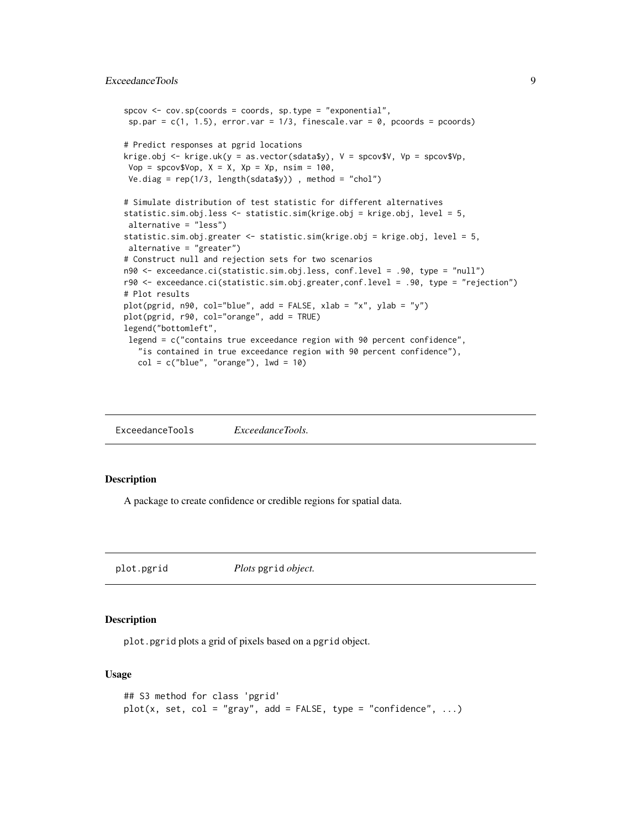```
spcov \leq cov \cdot sp(coords = coords, sp.\type = "exponential",sp.par = c(1, 1.5), error.var = 1/3, finescale.var = 0, pcoords = pcoords)
# Predict responses at pgrid locations
krige.obj \le krige.uk(y = as.vector(sdata$y), V = spcov$V, Vp = spcov$Vp,
Vop = spcov$Vop, X = X, Xp = Xp, nsim = 100,
Ve.diag = rep(1/3, length(sdata$y)) , method = "chol")
# Simulate distribution of test statistic for different alternatives
statistic.sim.obj.less <- statistic.sim(krige.obj = krige.obj, level = 5,
alternative = "less")
statistic.sim.obj.greater <- statistic.sim(krige.obj = krige.obj, level = 5,
alternative = "greater")
# Construct null and rejection sets for two scenarios
n90 <- exceedance.ci(statistic.sim.obj.less, conf.level = .90, type = "null")
r90 <- exceedance.ci(statistic.sim.obj.greater,conf.level = .90, type = "rejection")
# Plot results
plot(pgrid, n90, col="blue", add = FALSE, xlab = "x", ylab = "y")
plot(pgrid, r90, col="orange", add = TRUE)
legend("bottomleft",
legend = c("contains true exceedance region with 90 percent confidence",
   "is contained in true exceedance region with 90 percent confidence"),
  col = c("blue", "orange"), lwd = 10)
```
ExceedanceTools *ExceedanceTools.*

#### Description

A package to create confidence or credible regions for spatial data.

plot.pgrid *Plots* pgrid *object.*

#### Description

plot.pgrid plots a grid of pixels based on a pgrid object.

#### Usage

```
## S3 method for class 'pgrid'
plot(x, set, col = "gray", add = FALSE, type = "confidence", ...)
```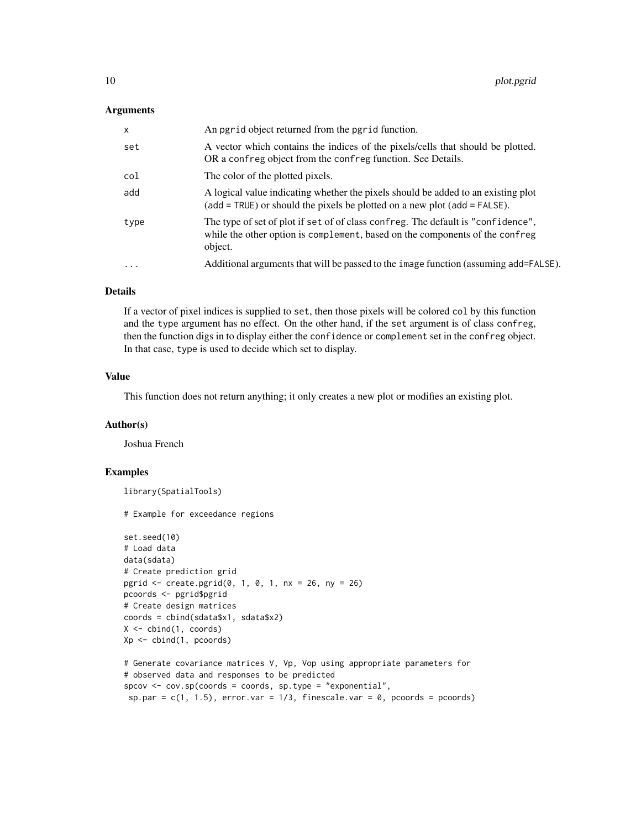#### Arguments

| X         | An pgrid object returned from the pgrid function.                                                                                                                           |
|-----------|-----------------------------------------------------------------------------------------------------------------------------------------------------------------------------|
| set       | A vector which contains the indices of the pixels/cells that should be plotted.<br>OR a confreg object from the confreg function. See Details.                              |
| col       | The color of the plotted pixels.                                                                                                                                            |
| add       | A logical value indicating whether the pixels should be added to an existing plot<br>$(add = TRUE)$ or should the pixels be plotted on a new plot $(add = FALSE)$ .         |
| type      | The type of set of plot if set of of class confreg. The default is "confidence",<br>while the other option is complement, based on the components of the confreg<br>object. |
| $\ddotsc$ | Additional arguments that will be passed to the image function (assuming add=FALSE).                                                                                        |

#### Details

If a vector of pixel indices is supplied to set, then those pixels will be colored col by this function and the type argument has no effect. On the other hand, if the set argument is of class confreg, then the function digs in to display either the confidence or complement set in the confreg object. In that case, type is used to decide which set to display.

#### Value

This function does not return anything; it only creates a new plot or modifies an existing plot.

#### Author(s)

Joshua French

#### Examples

library(SpatialTools)

```
set.seed(10)
# Load data
data(sdata)
# Create prediction grid
pgrid <- create.pgrid(0, 1, 0, 1, nx = 26, ny = 26)
pcoords <- pgrid$pgrid
# Create design matrices
coords = cbind(sdata$x1, sdata$x2)
X \leftarrow \text{cbind}(1, \text{coords})Xp <- cbind(1, pcoords)
# Generate covariance matrices V, Vp, Vop using appropriate parameters for
# observed data and responses to be predicted
spcov <- cov.sp(coords = coords, sp.type = "exponential",
```

```
sp.par = c(1, 1.5), error.var = 1/3, finescale.var = 0, pcoords = pcoords)
```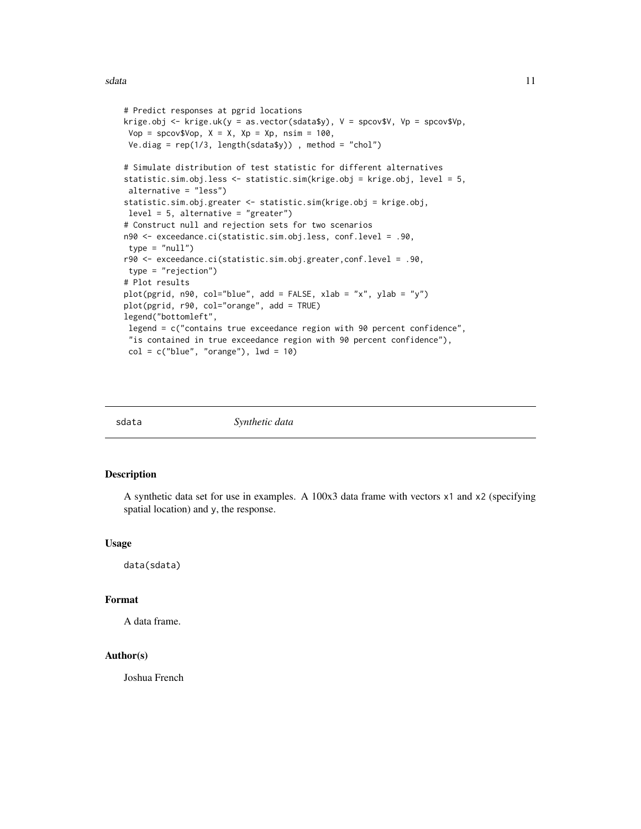<span id="page-10-0"></span>sdata and the state of the state of the state of the state of the state of the state of the state of the state of the state of the state of the state of the state of the state of the state of the state of the state of the

```
# Predict responses at pgrid locations
krige.obj <- krige.uk(y = as.vector(sdata$y), V = spcov$V, Vp = spcov$Vp,
Vop = spcov$Vop, X = X, Xp = Xp, nsim = 100,
Ve.diag = rep(1/3, length(sdata\))), method = "chol")
# Simulate distribution of test statistic for different alternatives
statistic.sim.obj.less <- statistic.sim(krige.obj = krige.obj, level = 5,
alternative = "less")
statistic.sim.obj.greater <- statistic.sim(krige.obj = krige.obj,
level = 5, alternative = "greater")
# Construct null and rejection sets for two scenarios
n90 <- exceedance.ci(statistic.sim.obj.less, conf.level = .90,
type = "null")r90 <- exceedance.ci(statistic.sim.obj.greater,conf.level = .90,
type = "rejection")
# Plot results
plot(pgrid, n90, col="blue", add = FALSE, xlab = "x", ylab = "y")
plot(pgrid, r90, col="orange", add = TRUE)
legend("bottomleft",
legend = c("contains true exceedance region with 90 percent confidence",
"is contained in true exceedance region with 90 percent confidence"),
col = c("blue", "orange"), lwd = 10)
```
sdata *Synthetic data*

#### **Description**

A synthetic data set for use in examples. A 100x3 data frame with vectors x1 and x2 (specifying spatial location) and y, the response.

#### Usage

data(sdata)

#### Format

A data frame.

#### Author(s)

Joshua French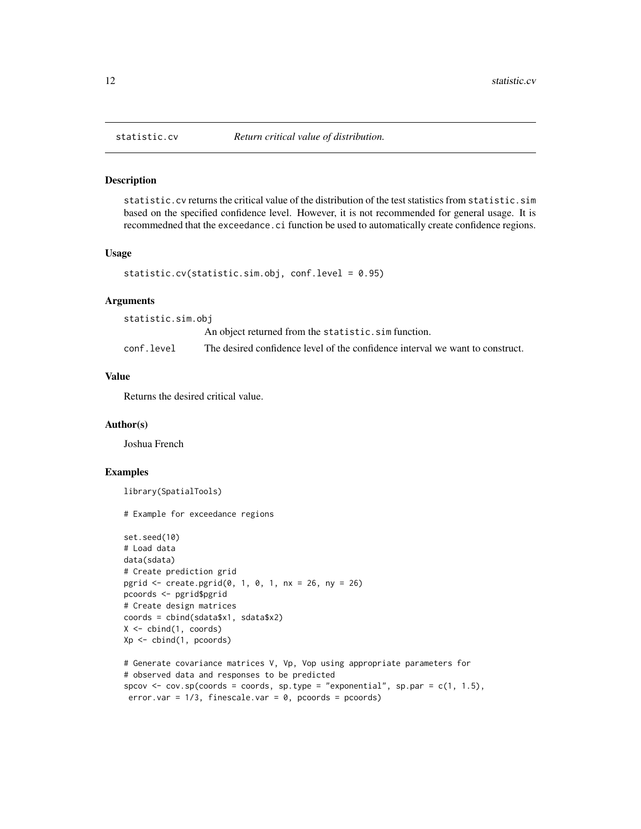#### Description

statistic.cv returns the critical value of the distribution of the test statistics from statistic.sim based on the specified confidence level. However, it is not recommended for general usage. It is recommedned that the exceedance.ci function be used to automatically create confidence regions.

#### Usage

```
statistic.cv(statistic.sim.obj, conf.level = 0.95)
```
#### Arguments

| statistic.sim.obj |                                                                               |  |
|-------------------|-------------------------------------------------------------------------------|--|
|                   | An object returned from the statistic.sim function.                           |  |
| conf.level        | The desired confidence level of the confidence interval we want to construct. |  |

#### Value

Returns the desired critical value.

#### Author(s)

Joshua French

#### Examples

library(SpatialTools)

```
set.seed(10)
# Load data
data(sdata)
# Create prediction grid
pgrid <- create.pgrid(0, 1, 0, 1, nx = 26, ny = 26)
pcoords <- pgrid$pgrid
# Create design matrices
coords = cbind(sdata$x1, sdata$x2)
X \leftarrow \text{cbind}(1, \text{coords})Xp <- cbind(1, pcoords)
# Generate covariance matrices V, Vp, Vop using appropriate parameters for
# observed data and responses to be predicted
```

```
spcov \leq cov.sp(coords = coords, sp.type = "exponential", sp.par = c(1, 1.5),
error.var = 1/3, finescale.var = 0, pcoords = pcoords)
```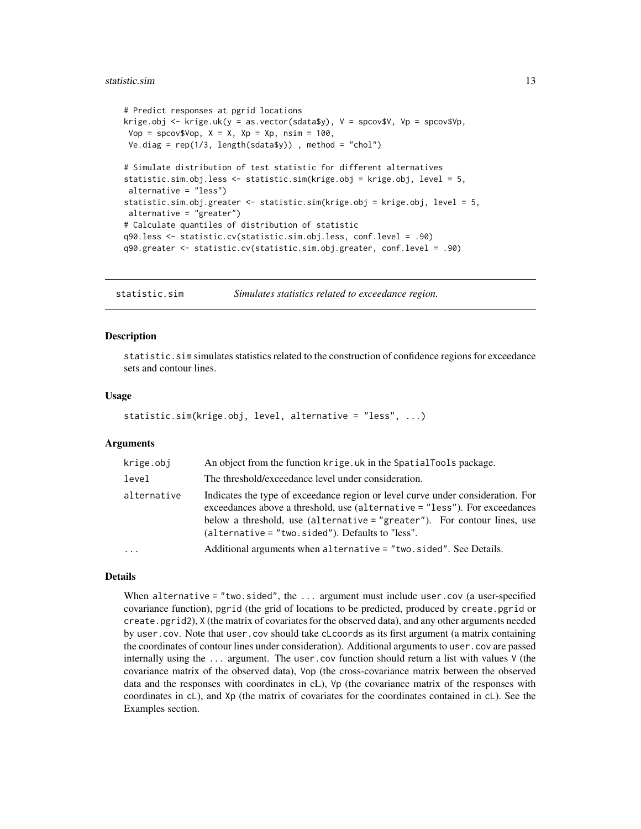#### <span id="page-12-0"></span>statistic.sim and the statistic of the statistic simulations of the statistic simulations of the statistic simulations of the statistic simulations of the statistic simulations of the statistic simulations of the statistic

```
# Predict responses at pgrid locations
krige.obj <- krige.uk(y = as.vector(sdata$y), V = spcov$V, Vp = spcov$Vp,
Vop = spcov$Vop, X = X, Xp = Xp, nsim = 100,
Ve.diag = rep(1/3, length(sdata$y)) , method = "chol")
# Simulate distribution of test statistic for different alternatives
statistic.sim.obj.less <- statistic.sim(krige.obj = krige.obj, level = 5,
alternative = "less")
statistic.sim.obj.greater <- statistic.sim(krige.obj = krige.obj, level = 5,
alternative = "greater")
# Calculate quantiles of distribution of statistic
q90.less <- statistic.cv(statistic.sim.obj.less, conf.level = .90)
q90.greater <- statistic.cv(statistic.sim.obj.greater, conf.level = .90)
```
statistic.sim *Simulates statistics related to exceedance region.*

#### **Description**

statistic.sim simulates statistics related to the construction of confidence regions for exceedance sets and contour lines.

#### Usage

```
statistic.sim(krige.obj, level, alternative = "less", ...)
```
#### Arguments

| krige.obj   | An object from the function krige.uk in the Spatial Tools package.                                                                                                                                                                                                                              |
|-------------|-------------------------------------------------------------------------------------------------------------------------------------------------------------------------------------------------------------------------------------------------------------------------------------------------|
| level       | The threshold/exceedance level under consideration.                                                                                                                                                                                                                                             |
| alternative | Indicates the type of exceedance region or level curve under consideration. For<br>exceedances above a threshold, use (alternative = "less"). For exceedances<br>below a threshold, use (alternative = "greater"). For contour lines, use<br>$(alternative = "two-sided").$ Defaults to "less". |
| .           | Additional arguments when alternative = "two.sided". See Details.                                                                                                                                                                                                                               |

#### Details

When alternative = "two.sided", the  $\dots$  argument must include user.cov (a user-specified covariance function), pgrid (the grid of locations to be predicted, produced by create.pgrid or create.pgrid2), X (the matrix of covariates for the observed data), and any other arguments needed by user.cov. Note that user.cov should take cLcoords as its first argument (a matrix containing the coordinates of contour lines under consideration). Additional arguments to user.cov are passed internally using the ... argument. The user.cov function should return a list with values V (the covariance matrix of the observed data), Vop (the cross-covariance matrix between the observed data and the responses with coordinates in cL), Vp (the covariance matrix of the responses with coordinates in cL), and Xp (the matrix of covariates for the coordinates contained in cL). See the Examples section.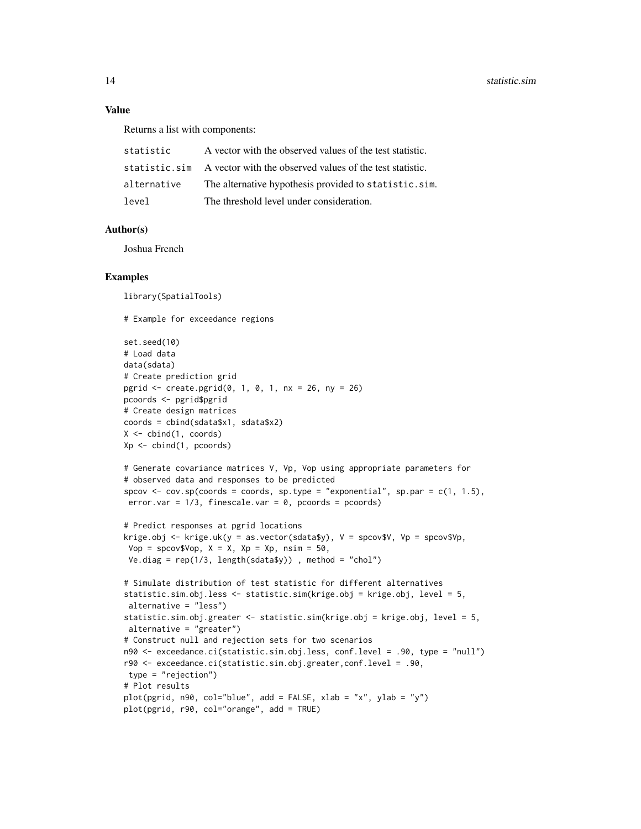#### Value

Returns a list with components:

| statistic     | A vector with the observed values of the test statistic. |
|---------------|----------------------------------------------------------|
| statistic.sim | A vector with the observed values of the test statistic. |
| alternative   | The alternative hypothesis provided to statistic.sim.    |
| level         | The threshold level under consideration.                 |

#### Author(s)

Joshua French

#### Examples

library(SpatialTools)

```
set.seed(10)
# Load data
data(sdata)
# Create prediction grid
pgrid <- create.pgrid(0, 1, 0, 1, nx = 26, ny = 26)
pcoords <- pgrid$pgrid
# Create design matrices
coords = cbind(sdata$x1, sdata$x2)
X \le - cbind(1, coords)
Xp <- cbind(1, pcoords)
# Generate covariance matrices V, Vp, Vop using appropriate parameters for
# observed data and responses to be predicted
spcov \leq cov.sp(coords = coords, sp.type = "exponential", sp.par = c(1, 1.5),
error.var = 1/3, finescale.var = 0, pcoords = pcoords)
# Predict responses at pgrid locations
krige.obj <- krige.uk(y = as.vector(sdata$y), V = spcov$V, Vp = spcov$Vp,
Vop = spcov$Vop, X = X, Xp = Xp, nsim = 50,
Ve.diag = rep(1/3, length(sdata$y)) , method = "chol")
# Simulate distribution of test statistic for different alternatives
statistic.sim.obj.less <- statistic.sim(krige.obj = krige.obj, level = 5,
alternative = "less")
statistic.sim.obj.greater <- statistic.sim(krige.obj = krige.obj, level = 5,
alternative = "greater")
# Construct null and rejection sets for two scenarios
n90 <- exceedance.ci(statistic.sim.obj.less, conf.level = .90, type = "null")
r90 <- exceedance.ci(statistic.sim.obj.greater,conf.level = .90,
type = "rejection")
# Plot results
plot(pgrid, n90, col="blue", add = FALSE, xlab = "x", ylab = "y")
plot(pgrid, r90, col="orange", add = TRUE)
```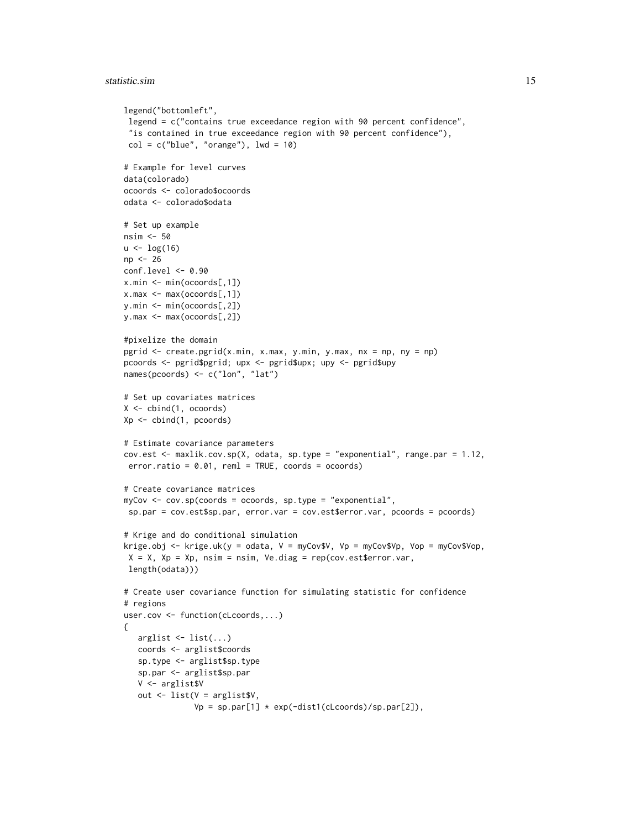```
legend("bottomleft",
 legend = c("contains true exceedance region with 90 percent confidence",
 "is contained in true exceedance region with 90 percent confidence"),
 col = c("blue", "orange"), lwd = 10)# Example for level curves
data(colorado)
ocoords <- colorado$ocoords
odata <- colorado$odata
# Set up example
nsim <- 50
u < -\log(16)np <- 26
conf.level <- 0.90
x.min <- min(ocoords[,1])
x.max <- max(ocoords[,1])
y.min <- min(ocoords[,2])
y.max <- max(ocoords[,2])
#pixelize the domain
pgrid <- create.pgrid(x.min, x.max, y.min, y.max, nx = np, ny = np)
pcoords <- pgrid$pgrid; upx <- pgrid$upx; upy <- pgrid$upy
names(pcoords) <- c("lon", "lat")
# Set up covariates matrices
X <- cbind(1, ocoords)
Xp <- cbind(1, pcoords)
# Estimate covariance parameters
cov.est <- maxlik.cov.sp(X, odata, sp.type = "exponential", range.par = 1.12,
error.ratio = 0.01, reml = TRUE, coords = ocoords)
# Create covariance matrices
myCov <- cov.sp(coords = ocoords, sp.type = "exponential",
 sp.par = cov.est$sp.par, error.var = cov.est$error.var, pcoords = pcoords)
# Krige and do conditional simulation
krige.obj <- krige.uk(y = odata, V = myCov$V, Vp = myCov$Vp, Vop = myCov$Vop,
X = X, Xp = Xp, nsim = nsim, Ve.diag = rep(cov.est\$error.var,
length(odata)))
# Create user covariance function for simulating statistic for confidence
# regions
user.cov <- function(cLcoords,...)
{
   arglist \le list(...)coords <- arglist$coords
   sp.type <- arglist$sp.type
   sp.par <- arglist$sp.par
   V <- arglist$V
   out <- list(V = arglist$V,
               Vp = sp.par[1] * exp(-dist1(clcoords)/sp.par[2]),
```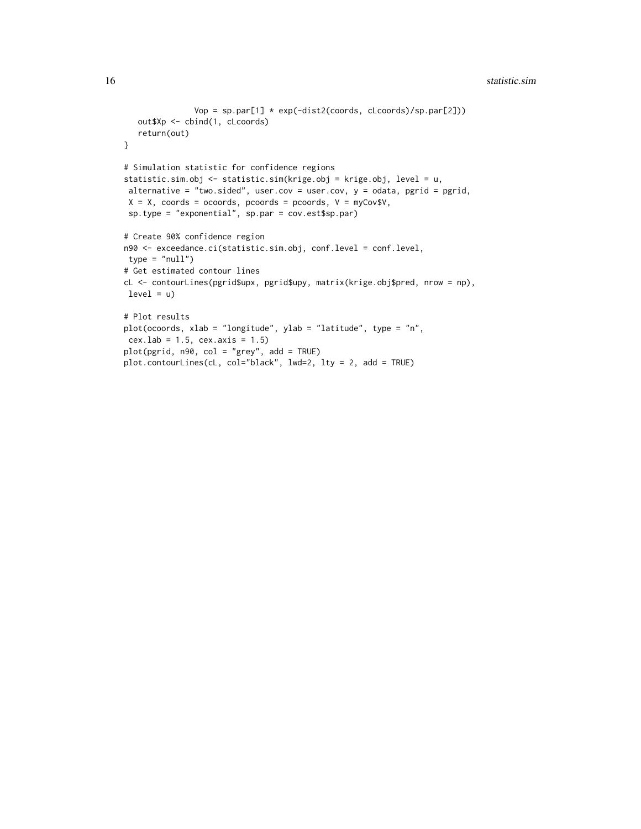#### 16 statistic.sim statistic.sim statistic.sim statistic.sim statistic.sim statistic.sim statistic.sim statistic.sim statistic.sim statistic.sim statistic.sim statistic.sim statistic.sim statistic.sim statistic.sim statistic

```
Vop = sp.par[1] * exp(-dist2(coords, cLcoords)/sp.par[2]))
  out$Xp <- cbind(1, cLcoords)
  return(out)
}
# Simulation statistic for confidence regions
statistic.sim.obj <- statistic.sim(krige.obj = krige.obj, level = u,
alternative = "two.sided", user.cov = user.cov, y = odata, pgrid = pgrid,
X = X, coords = ocoords, pcoords = pcoords, V = myCov$V,
sp.type = "exponential", sp.par = cov.est$sp.par)
# Create 90% confidence region
n90 <- exceedance.ci(statistic.sim.obj, conf.level = conf.level,
type = "null")# Get estimated contour lines
cL <- contourLines(pgrid$upx, pgrid$upy, matrix(krige.obj$pred, nrow = np),
level = u)# Plot results
plot(ocoords, xlab = "longitude", ylab = "latitude", type = "n",
cex.lab = 1.5, cex.axis = 1.5)
plot(pgrid, n90, col = "grey", add = TRUE)
plot.contourLines(cL, col="black", lwd=2, lty = 2, add = TRUE)
```